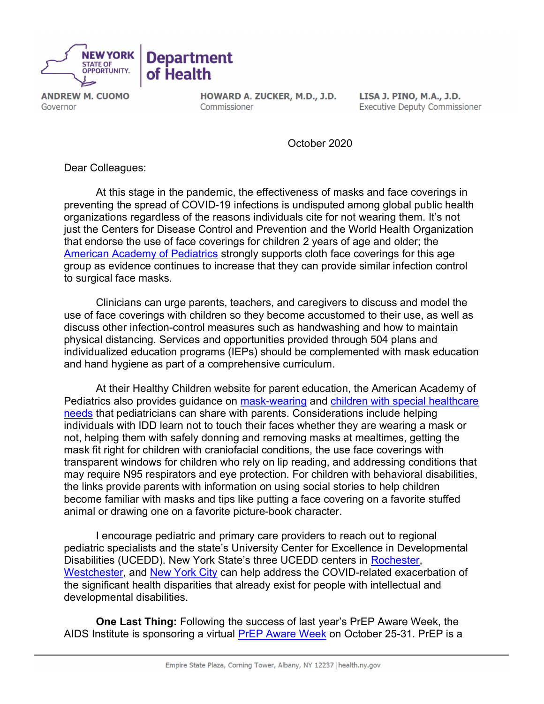

**ANDREW M. CUOMO** Governor

HOWARD A. ZUCKER, M.D., J.D. Commissioner

LISA J. PINO, M.A., J.D. **Executive Deputy Commissioner** 

October 2020

Dear Colleagues:

At this stage in the pandemic, the effectiveness of masks and face coverings in preventing the spread of COVID-19 infections is undisputed among global public health organizations regardless of the reasons individuals cite for not wearing them. It's not just the Centers for Disease Control and Prevention and the World Health Organization that endorse the use of face coverings for children 2 years of age and older; the [American Academy of Pediatrics](https://services.aap.org/en/pages/2019-novel-coronavirus-covid-19-infections/clinical-guidance/cloth-face-coverings/) strongly supports cloth face coverings for this age group as evidence continues to increase that they can provide similar infection control to surgical face masks.

Clinicians can urge parents, teachers, and caregivers to discuss and model the use of face coverings with children so they become accustomed to their use, as well as discuss other infection-control measures such as handwashing and how to maintain physical distancing. Services and opportunities provided through 504 plans and individualized education programs (IEPs) should be complemented with mask education and hand hygiene as part of a comprehensive curriculum.

At their Healthy Children website for parent education, the American Academy of Pediatrics also provides guidance on [mask-wearing](https://www.healthychildren.org/English/health-issues/conditions/COVID-19/Pages/Cloth-Face-Coverings-for-Children-During-COVID-19.aspx) and [children with special healthcare](https://www.healthychildren.org/English/health-issues/conditions/COVID-19/Pages/COVID-19-Youth-with-Special-Health-Care-Needs.aspx)  [needs](https://www.healthychildren.org/English/health-issues/conditions/COVID-19/Pages/COVID-19-Youth-with-Special-Health-Care-Needs.aspx) that pediatricians can share with parents. Considerations include helping individuals with IDD learn not to touch their faces whether they are wearing a mask or not, helping them with safely donning and removing masks at mealtimes, getting the mask fit right for children with craniofacial conditions, the use face coverings with transparent windows for children who rely on lip reading, and addressing conditions that may require N95 respirators and eye protection. For children with behavioral disabilities, the links provide parents with information on using social stories to help children become familiar with masks and tips like putting a face covering on a favorite stuffed animal or drawing one on a favorite picture-book character.

I encourage pediatric and primary care providers to reach out to regional pediatric specialists and the state's University Center for Excellence in Developmental Disabilities (UCEDD). New York State's three UCEDD centers in [Rochester,](https://www.urmc.rochester.edu/strong-center-developmental-disabilities.aspx) [Westchester,](https://www.wihd.org/external-resources-covid-19/) and [New York City](https://www.einstein.yu.edu/centers/childrens-evaluation-rehabilitation/rose-f-kennedy-ucedd/) can help address the COVID-related exacerbation of the significant health disparities that already exist for people with intellectual and developmental disabilities.

One Last Thing: Following the success of last year's PrEP Aware Week, the AIDS Institute is sponsoring a virtual [PrEP Aware Week](http://www.prepforsex.org/) on October 25-31. PrEP is a